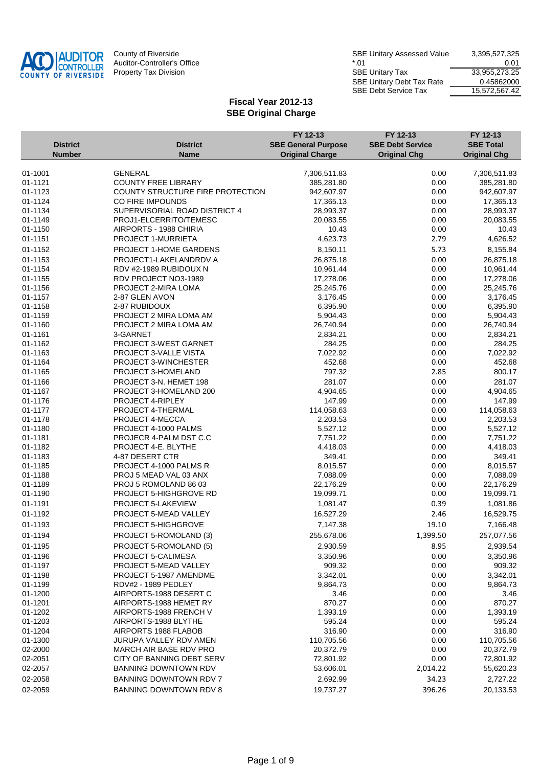

|                    |                                               | FY 12-13                   | FY 12-13                | FY 12-13            |
|--------------------|-----------------------------------------------|----------------------------|-------------------------|---------------------|
| <b>District</b>    | <b>District</b>                               | <b>SBE General Purpose</b> | <b>SBE Debt Service</b> | <b>SBE Total</b>    |
| <b>Number</b>      | <b>Name</b>                                   | <b>Original Charge</b>     | <b>Original Chg</b>     | <b>Original Chg</b> |
|                    |                                               |                            |                         |                     |
| 01-1001            | <b>GENERAL</b>                                | 7,306,511.83               | 0.00                    | 7,306,511.83        |
| 01-1121            | <b>COUNTY FREE LIBRARY</b>                    | 385,281.80                 | 0.00                    | 385,281.80          |
| 01-1123            | COUNTY STRUCTURE FIRE PROTECTION              | 942,607.97                 | 0.00                    | 942,607.97          |
| 01-1124            | CO FIRE IMPOUNDS                              | 17,365.13                  | 0.00                    | 17,365.13           |
| 01-1134            | SUPERVISORIAL ROAD DISTRICT 4                 | 28,993.37                  | 0.00                    | 28,993.37           |
| 01-1149            | PROJ1-ELCERRITO/TEMESC                        | 20,083.55                  | 0.00                    | 20,083.55           |
| 01-1150            | AIRPORTS - 1988 CHIRIA                        | 10.43                      | 0.00                    | 10.43               |
| 01-1151            | <b>PROJECT 1-MURRIETA</b>                     | 4,623.73                   | 2.79                    | 4,626.52            |
| 01-1152            | PROJECT 1-HOME GARDENS                        | 8,150.11                   | 5.73                    | 8,155.84            |
| 01-1153            | PROJECT1-LAKELANDRDV A                        | 26,875.18                  | 0.00                    | 26,875.18           |
| 01-1154            | RDV #2-1989 RUBIDOUX N                        | 10,961.44                  | 0.00                    | 10,961.44           |
| 01-1155            | RDV PROJECT NO3-1989                          | 17,278.06                  | 0.00                    | 17,278.06           |
| 01-1156            | PROJECT 2-MIRA LOMA                           | 25,245.76                  | 0.00                    | 25,245.76           |
| 01-1157            | 2-87 GLEN AVON                                | 3,176.45                   | 0.00                    | 3,176.45            |
| 01-1158            | 2-87 RUBIDOUX                                 | 6,395.90                   | 0.00                    | 6,395.90            |
| 01-1159            | PROJECT 2 MIRA LOMA AM                        | 5,904.43                   | 0.00                    | 5,904.43            |
| 01-1160            | PROJECT 2 MIRA LOMA AM                        | 26,740.94                  | 0.00                    | 26,740.94           |
| 01-1161            | 3-GARNET                                      | 2,834.21                   | 0.00                    | 2,834.21            |
| 01-1162            | PROJECT 3-WEST GARNET                         | 284.25                     | 0.00                    | 284.25              |
| 01-1163<br>01-1164 | PROJECT 3-VALLE VISTA<br>PROJECT 3-WINCHESTER | 7,022.92<br>452.68         | 0.00<br>0.00            | 7,022.92<br>452.68  |
| 01-1165            | PROJECT 3-HOMELAND                            | 797.32                     | 2.85                    | 800.17              |
|                    |                                               |                            |                         |                     |
| 01-1166            | PROJECT 3-N. HEMET 198                        | 281.07                     | 0.00                    | 281.07<br>4,904.65  |
| 01-1167<br>01-1176 | PROJECT 3-HOMELAND 200<br>PROJECT 4-RIPLEY    | 4,904.65<br>147.99         | 0.00<br>0.00            | 147.99              |
| 01-1177            | PROJECT 4-THERMAL                             | 114,058.63                 | 0.00                    | 114,058.63          |
| 01-1178            | PROJECT 4-MECCA                               | 2,203.53                   | 0.00                    | 2,203.53            |
| 01-1180            | PROJECT 4-1000 PALMS                          | 5,527.12                   | 0.00                    | 5,527.12            |
| 01-1181            | PROJECR 4-PALM DST C.C                        | 7,751.22                   | 0.00                    | 7,751.22            |
| 01-1182            | PROJECT 4-E. BLYTHE                           | 4,418.03                   | 0.00                    | 4,418.03            |
| 01-1183            | 4-87 DESERT CTR                               | 349.41                     | 0.00                    | 349.41              |
| 01-1185            | PROJECT 4-1000 PALMS R                        | 8,015.57                   | 0.00                    | 8,015.57            |
| 01-1188            | PROJ 5 MEAD VAL 03 ANX                        | 7,088.09                   | 0.00                    | 7,088.09            |
| 01-1189            | PROJ 5 ROMOLAND 86 03                         | 22,176.29                  | 0.00                    | 22,176.29           |
| 01-1190            | PROJECT 5-HIGHGROVE RD                        | 19,099.71                  | 0.00                    | 19,099.71           |
| 01-1191            | PROJECT 5-LAKEVIEW                            | 1,081.47                   | 0.39                    | 1,081.86            |
| 01-1192            | PROJECT 5-MEAD VALLEY                         | 16,527.29                  | 2.46                    | 16,529.75           |
| 01-1193            | PROJECT 5-HIGHGROVE                           | 7,147.38                   | 19.10                   | 7,166.48            |
| 01-1194            | PROJECT 5-ROMOLAND (3)                        | 255,678.06                 | 1,399.50                | 257,077.56          |
|                    |                                               |                            |                         |                     |
| 01-1195            | PROJECT 5-ROMOLAND (5)                        | 2,930.59                   | 8.95                    | 2,939.54            |
| 01-1196            | PROJECT 5-CALIMESA                            | 3,350.96                   | 0.00                    | 3,350.96            |
| 01-1197            | PROJECT 5-MEAD VALLEY                         | 909.32                     | 0.00                    | 909.32              |
| 01-1198            | PROJECT 5-1987 AMENDME                        | 3,342.01                   | 0.00                    | 3,342.01            |
| 01-1199<br>01-1200 | RDV#2 - 1989 PEDLEY<br>AIRPORTS-1988 DESERT C | 9,864.73<br>3.46           | 0.00<br>0.00            | 9,864.73<br>3.46    |
| 01-1201            | AIRPORTS-1988 HEMET RY                        | 870.27                     | 0.00                    | 870.27              |
| 01-1202            | AIRPORTS-1988 FRENCH V                        | 1,393.19                   | 0.00                    | 1,393.19            |
| 01-1203            | AIRPORTS-1988 BLYTHE                          | 595.24                     | 0.00                    | 595.24              |
| 01-1204            | AIRPORTS 1988 FLABOB                          | 316.90                     | 0.00                    | 316.90              |
| 01-1300            | JURUPA VALLEY RDV AMEN                        | 110,705.56                 | 0.00                    | 110,705.56          |
| 02-2000            | MARCH AIR BASE RDV PRO                        | 20,372.79                  | 0.00                    | 20,372.79           |
| 02-2051            | CITY OF BANNING DEBT SERV                     | 72,801.92                  | 0.00                    | 72,801.92           |
| 02-2057            | <b>BANNING DOWNTOWN RDV</b>                   | 53,606.01                  | 2,014.22                | 55,620.23           |
| 02-2058            | <b>BANNING DOWNTOWN RDV 7</b>                 | 2,692.99                   | 34.23                   | 2,727.22            |
| 02-2059            | BANNING DOWNTOWN RDV 8                        | 19,737.27                  | 396.26                  | 20,133.53           |
|                    |                                               |                            |                         |                     |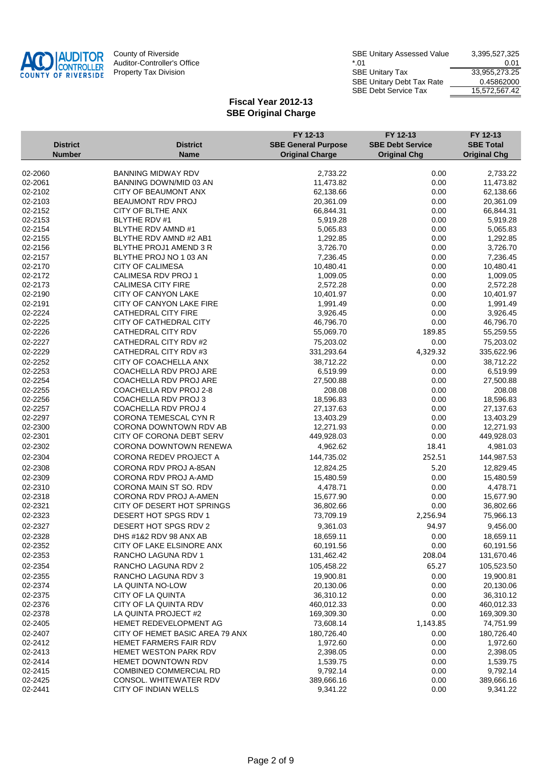

| County of Riverside         | <b>SBE Unitary Assessed Value</b> | 3,395,527,325 |
|-----------------------------|-----------------------------------|---------------|
| Auditor-Controller's Office | *.01                              | 0.01          |
| Property Tax Division       | <b>SBE Unitary Tax</b>            | 33,955,273.25 |
|                             | <b>SBE Unitary Debt Tax Rate</b>  | 0.45862000    |
|                             | <b>SBE Debt Service Tax</b>       | 15.572.567.42 |
|                             |                                   |               |

|                 |                                 | FY 12-13                   | FY 12-13                | FY 12-13            |
|-----------------|---------------------------------|----------------------------|-------------------------|---------------------|
| <b>District</b> | <b>District</b>                 | <b>SBE General Purpose</b> | <b>SBE Debt Service</b> | <b>SBE Total</b>    |
| <b>Number</b>   | <b>Name</b>                     | <b>Original Charge</b>     | <b>Original Chg</b>     | <b>Original Chg</b> |
| 02-2060         | <b>BANNING MIDWAY RDV</b>       | 2,733.22                   | 0.00                    | 2,733.22            |
| 02-2061         | BANNING DOWN/MID 03 AN          | 11,473.82                  | 0.00                    | 11,473.82           |
| 02-2102         | CITY OF BEAUMONT ANX            | 62,138.66                  | 0.00                    | 62,138.66           |
| 02-2103         | BEAUMONT RDV PROJ               | 20,361.09                  | 0.00                    | 20,361.09           |
| 02-2152         | CITY OF BLTHE ANX               | 66,844.31                  | 0.00                    | 66,844.31           |
| 02-2153         | BLYTHE RDV #1                   | 5,919.28                   | 0.00                    | 5,919.28            |
| 02-2154         | BLYTHE RDV AMND #1              | 5,065.83                   | 0.00                    | 5,065.83            |
| 02-2155         | BLYTHE RDV AMND #2 AB1          | 1,292.85                   | 0.00                    | 1,292.85            |
| 02-2156         | BLYTHE PROJ1 AMEND 3 R          | 3,726.70                   | 0.00                    | 3,726.70            |
| 02-2157         | BLYTHE PROJ NO 1 03 AN          | 7,236.45                   | 0.00                    | 7,236.45            |
| 02-2170         | <b>CITY OF CALIMESA</b>         | 10,480.41                  | 0.00                    | 10,480.41           |
| 02-2172         | CALIMESA RDV PROJ 1             | 1,009.05                   | 0.00                    | 1,009.05            |
| 02-2173         | <b>CALIMESA CITY FIRE</b>       | 2,572.28                   | 0.00                    | 2,572.28            |
| 02-2190         | CITY OF CANYON LAKE             | 10,401.97                  | 0.00                    | 10,401.97           |
| 02-2191         | CITY OF CANYON LAKE FIRE        | 1,991.49                   | 0.00                    | 1,991.49            |
| 02-2224         | <b>CATHEDRAL CITY FIRE</b>      | 3,926.45                   | 0.00                    | 3,926.45            |
| 02-2225         | CITY OF CATHEDRAL CITY          | 46,796.70                  | 0.00                    | 46,796.70           |
| 02-2226         | CATHEDRAL CITY RDV              | 55,069.70                  | 189.85                  | 55,259.55           |
| 02-2227         | CATHEDRAL CITY RDV #2           | 75,203.02                  | 0.00                    | 75,203.02           |
| 02-2229         | CATHEDRAL CITY RDV #3           | 331,293.64                 | 4,329.32                | 335,622.96          |
| 02-2252         | CITY OF COACHELLA ANX           | 38,712.22                  | 0.00                    | 38,712.22           |
| 02-2253         | COACHELLA RDV PROJ ARE          | 6,519.99                   | 0.00                    | 6,519.99            |
| 02-2254         | COACHELLA RDV PROJ ARE          | 27,500.88                  | 0.00                    | 27,500.88           |
| 02-2255         | COACHELLA RDV PROJ 2-8          | 208.08                     | 0.00                    | 208.08              |
| 02-2256         | COACHELLA RDV PROJ 3            | 18,596.83                  | 0.00                    | 18,596.83           |
| 02-2257         | COACHELLA RDV PROJ 4            | 27,137.63                  | 0.00                    | 27,137.63           |
| 02-2297         | CORONA TEMESCAL CYN R           | 13,403.29                  | 0.00                    | 13,403.29           |
| 02-2300         | CORONA DOWNTOWN RDV AB          | 12,271.93                  | 0.00                    | 12,271.93           |
| 02-2301         | CITY OF CORONA DEBT SERV        | 449,928.03                 | 0.00                    | 449,928.03          |
| 02-2302         | CORONA DOWNTOWN RENEWA          | 4,962.62                   | 18.41                   | 4,981.03            |
| 02-2304         | CORONA REDEV PROJECT A          | 144,735.02                 | 252.51                  | 144,987.53          |
| 02-2308         | CORONA RDV PROJ A-85AN          | 12,824.25                  | 5.20                    | 12,829.45           |
| 02-2309         | CORONA RDV PROJ A-AMD           | 15,480.59                  | 0.00                    | 15,480.59           |
| 02-2310         | CORONA MAIN ST SO. RDV          | 4,478.71                   | 0.00                    | 4,478.71            |
| 02-2318         | CORONA RDV PROJ A-AMEN          | 15,677.90                  | 0.00                    | 15,677.90           |
| 02-2321         | CITY OF DESERT HOT SPRINGS      | 36,802.66                  | 0.00                    | 36,802.66           |
| 02-2323         | DESERT HOT SPGS RDV 1           | 73,709.19                  | 2,256.94                | 75,966.13           |
| 02-2327         | DESERT HOT SPGS RDV 2           | 9,361.03                   | 94.97                   | 9,456.00            |
|                 |                                 |                            |                         |                     |
| 02-2328         | DHS #1&2 RDV 98 ANX AB          | 18,659.11                  | 0.00                    | 18,659.11           |
| 02-2352         | CITY OF LAKE ELSINORE ANX       | 60,191.56                  | 0.00                    | 60,191.56           |
| 02-2353         | RANCHO LAGUNA RDV 1             | 131,462.42                 | 208.04                  | 131,670.46          |
| 02-2354         | RANCHO LAGUNA RDV 2             | 105,458.22                 | 65.27                   | 105,523.50          |
| 02-2355         | RANCHO LAGUNA RDV 3             | 19,900.81                  | 0.00                    | 19,900.81           |
| 02-2374         | LA QUINTA NO-LOW                | 20,130.06                  | 0.00                    | 20,130.06           |
| 02-2375         | CITY OF LA QUINTA               | 36,310.12                  | 0.00                    | 36,310.12           |
| 02-2376         | CITY OF LA QUINTA RDV           | 460,012.33                 | 0.00                    | 460,012.33          |
| 02-2378         | LA QUINTA PROJECT #2            | 169,309.30                 | 0.00                    | 169,309.30          |
| 02-2405         | HEMET REDEVELOPMENT AG          | 73,608.14                  | 1,143.85                | 74,751.99           |
| 02-2407         | CITY OF HEMET BASIC AREA 79 ANX | 180,726.40                 | 0.00                    | 180,726.40          |
| 02-2412         | HEMET FARMERS FAIR RDV          | 1,972.60                   | 0.00                    | 1,972.60            |
| 02-2413         | <b>HEMET WESTON PARK RDV</b>    | 2,398.05                   | 0.00                    | 2,398.05            |
| 02-2414         | HEMET DOWNTOWN RDV              | 1,539.75                   | 0.00                    | 1,539.75            |
| 02-2415         | <b>COMBINED COMMERCIAL RD</b>   | 9,792.14                   | 0.00                    | 9,792.14            |
| 02-2425         | CONSOL. WHITEWATER RDV          | 389,666.16                 | 0.00                    | 389,666.16          |
| 02-2441         | CITY OF INDIAN WELLS            | 9,341.22                   | 0.00                    | 9,341.22            |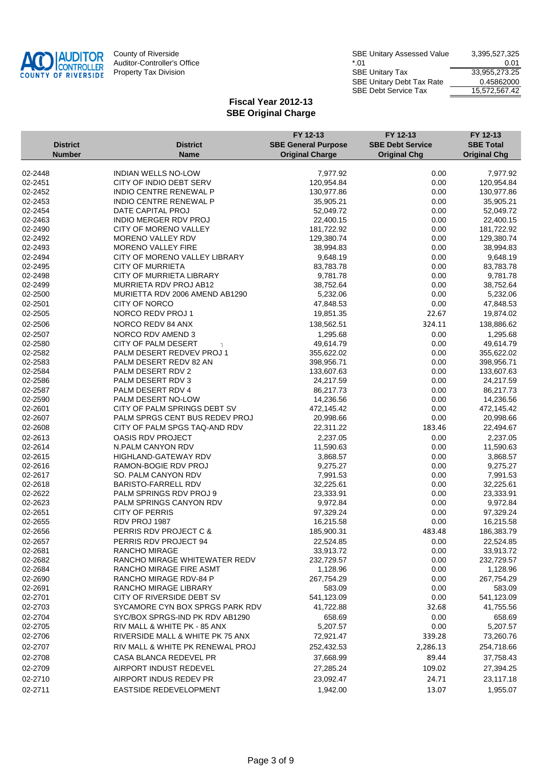

| County of Riverside         | <b>SBE Unitary Assessed Value</b> | 3,395,527,325 |
|-----------------------------|-----------------------------------|---------------|
| Auditor-Controller's Office | *.01                              | 0.01          |
| Property Tax Division       | <b>SBE Unitary Tax</b>            | 33,955,273.25 |
|                             | <b>SBE Unitary Debt Tax Rate</b>  | 0.45862000    |
|                             | <b>SBE Debt Service Tax</b>       | 15.572.567.42 |
|                             |                                   |               |

| <b>District</b>    | <b>District</b>                                   | FY 12-13<br><b>SBE General Purpose</b> | FY 12-13<br><b>SBE Debt Service</b> | FY 12-13<br><b>SBE Total</b> |
|--------------------|---------------------------------------------------|----------------------------------------|-------------------------------------|------------------------------|
| <b>Number</b>      | <b>Name</b>                                       | <b>Original Charge</b>                 | <b>Original Chg</b>                 | <b>Original Chg</b>          |
|                    |                                                   |                                        |                                     |                              |
| 02-2448            | <b>INDIAN WELLS NO-LOW</b>                        | 7,977.92                               | 0.00                                | 7,977.92                     |
| 02-2451            | CITY OF INDIO DEBT SERV                           | 120,954.84                             | 0.00                                | 120,954.84                   |
| 02-2452            | <b>INDIO CENTRE RENEWAL P</b>                     | 130,977.86                             | 0.00                                | 130,977.86                   |
| 02-2453<br>02-2454 | <b>INDIO CENTRE RENEWAL P</b>                     | 35,905.21                              | 0.00                                | 35,905.21                    |
| 02-2463            | DATE CAPITAL PROJ<br><b>INDIO MERGER RDV PROJ</b> | 52,049.72<br>22,400.15                 | 0.00<br>0.00                        | 52,049.72<br>22,400.15       |
| 02-2490            | CITY OF MORENO VALLEY                             | 181,722.92                             | 0.00                                | 181,722.92                   |
| 02-2492            | MORENO VALLEY RDV                                 | 129,380.74                             | 0.00                                | 129,380.74                   |
| 02-2493            | <b>MORENO VALLEY FIRE</b>                         | 38,994.83                              | 0.00                                | 38,994.83                    |
| 02-2494            | CITY OF MORENO VALLEY LIBRARY                     | 9,648.19                               | 0.00                                | 9,648.19                     |
| 02-2495            | <b>CITY OF MURRIETA</b>                           | 83,783.78                              | 0.00                                | 83,783.78                    |
| 02-2498            | CITY OF MURRIETA LIBRARY                          | 9,781.78                               | 0.00                                | 9,781.78                     |
| 02-2499            | MURRIETA RDV PROJ AB12                            | 38,752.64                              | 0.00                                | 38,752.64                    |
| 02-2500            | MURIETTA RDV 2006 AMEND AB1290                    | 5,232.06                               | 0.00                                | 5,232.06                     |
| 02-2501            | CITY OF NORCO                                     | 47,848.53                              | 0.00                                | 47,848.53                    |
| 02-2505            | NORCO REDV PROJ 1                                 | 19,851.35                              | 22.67                               | 19,874.02                    |
| 02-2506            | NORCO REDV 84 ANX                                 | 138,562.51                             | 324.11                              | 138,886.62                   |
| 02-2507            | NORCO RDV AMEND 3                                 | 1,295.68                               | 0.00                                | 1,295.68                     |
| 02-2580            | <b>CITY OF PALM DESERT</b>                        | 49,614.79                              | 0.00                                | 49,614.79                    |
| 02-2582            | PALM DESERT REDVEV PROJ 1                         | 355,622.02                             | 0.00                                | 355,622.02                   |
| 02-2583            | PALM DESERT REDV 82 AN                            | 398,956.71                             | 0.00                                | 398,956.71                   |
| 02-2584            | PALM DESERT RDV 2                                 | 133,607.63                             | 0.00                                | 133,607.63                   |
| 02-2586            | PALM DESERT RDV 3                                 | 24,217.59                              | 0.00                                | 24,217.59                    |
| 02-2587            | PALM DESERT RDV 4                                 | 86,217.73                              | 0.00                                | 86,217.73                    |
| 02-2590            | PALM DESERT NO-LOW                                | 14,236.56                              | 0.00                                | 14,236.56                    |
| 02-2601            | CITY OF PALM SPRINGS DEBT SV                      | 472,145.42                             | 0.00                                | 472,145.42                   |
| 02-2607            | PALM SPRGS CENT BUS REDEV PROJ                    | 20,998.66                              | 0.00                                | 20,998.66                    |
| 02-2608            | CITY OF PALM SPGS TAQ-AND RDV                     | 22,311.22                              | 183.46                              | 22,494.67                    |
| 02-2613            | OASIS RDV PROJECT                                 | 2,237.05                               | 0.00                                | 2,237.05                     |
| 02-2614            | N.PALM CANYON RDV                                 | 11,590.63                              | 0.00                                | 11,590.63                    |
| 02-2615            | HIGHLAND-GATEWAY RDV                              | 3,868.57                               | 0.00                                | 3,868.57                     |
| 02-2616            | RAMON-BOGIE RDV PROJ                              | 9,275.27                               | 0.00                                | 9,275.27                     |
| 02-2617<br>02-2618 | SO. PALM CANYON RDV<br><b>BARISTO-FARRELL RDV</b> | 7,991.53<br>32,225.61                  | 0.00<br>0.00                        | 7,991.53<br>32,225.61        |
| 02-2622            | PALM SPRINGS RDV PROJ 9                           | 23,333.91                              | 0.00                                | 23,333.91                    |
| 02-2623            | PALM SPRINGS CANYON RDV                           | 9,972.84                               | 0.00                                | 9,972.84                     |
| 02-2651            | <b>CITY OF PERRIS</b>                             | 97,329.24                              | 0.00                                | 97,329.24                    |
| 02-2655            | RDV PROJ 1987                                     | 16,215.58                              | 0.00                                | 16,215.58                    |
| 02-2656            | PERRIS RDV PROJECT C &                            | 185,900.31                             | 483.48                              | 186,383.79                   |
| 02-2657            | PERRIS RDV PROJECT 94                             | 22,524.85                              | 0.00                                | 22,524.85                    |
| 02-2681            | RANCHO MIRAGE                                     | 33,913.72                              | 0.00                                | 33,913.72                    |
| 02-2682            | RANCHO MIRAGE WHITEWATER REDV                     | 232,729.57                             | 0.00                                | 232,729.57                   |
| 02-2684            | RANCHO MIRAGE FIRE ASMT                           | 1,128.96                               | 0.00                                | 1,128.96                     |
| 02-2690            | RANCHO MIRAGE RDV-84 P                            | 267,754.29                             | 0.00                                | 267,754.29                   |
| 02-2691            | RANCHO MIRAGE LIBRARY                             | 583.09                                 | 0.00                                | 583.09                       |
| 02-2701            | CITY OF RIVERSIDE DEBT SV                         | 541,123.09                             | 0.00                                | 541,123.09                   |
| 02-2703            | SYCAMORE CYN BOX SPRGS PARK RDV                   | 41,722.88                              | 32.68                               | 41,755.56                    |
| 02-2704            | SYC/BOX SPRGS-IND PK RDV AB1290                   | 658.69                                 | 0.00                                | 658.69                       |
| 02-2705            | RIV MALL & WHITE PK - 85 ANX                      | 5,207.57                               | 0.00                                | 5,207.57                     |
| 02-2706            | RIVERSIDE MALL & WHITE PK 75 ANX                  | 72,921.47                              | 339.28                              | 73,260.76                    |
| 02-2707            | RIV MALL & WHITE PK RENEWAL PROJ                  | 252,432.53                             | 2,286.13                            | 254,718.66                   |
| 02-2708            | CASA BLANCA REDEVEL PR                            | 37,668.99                              | 89.44                               | 37,758.43                    |
| 02-2709            | AIRPORT INDUST REDEVEL                            | 27,285.24                              | 109.02                              | 27,394.25                    |
|                    |                                                   |                                        |                                     |                              |
| 02-2710            | AIRPORT INDUS REDEV PR                            | 23,092.47                              | 24.71                               | 23,117.18                    |
| 02-2711            | EASTSIDE REDEVELOPMENT                            | 1,942.00                               | 13.07                               | 1,955.07                     |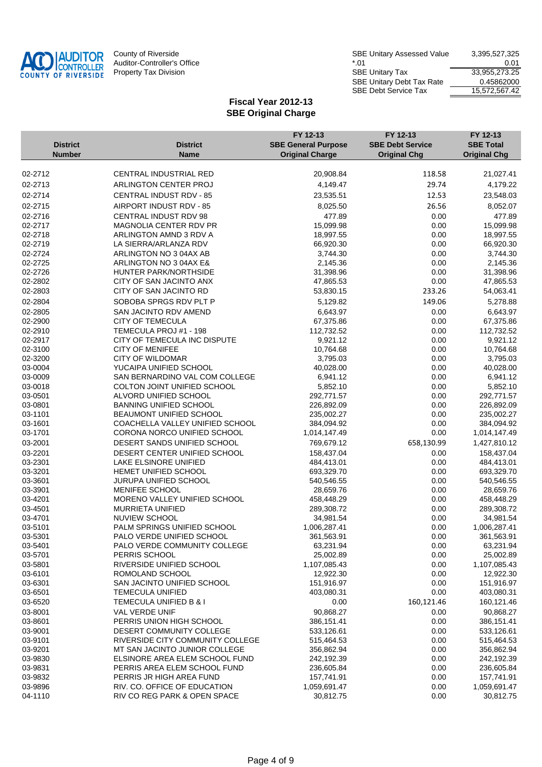

| County of Riverside         | <b>SBE Unitary Assessed Value</b> | 3,395,527,325 |
|-----------------------------|-----------------------------------|---------------|
| Auditor-Controller's Office | $*$ 01                            | 0.01          |
| Property Tax Division       | <b>SBE Unitary Tax</b>            | 33,955,273.25 |
|                             | <b>SBE Unitary Debt Tax Rate</b>  | 0.45862000    |
|                             | SBE Debt Service Tax              | 15.572.567.42 |
|                             |                                   |               |

|                    |                                                          | FY 12-13                   | FY 12-13                | FY 12-13                   |
|--------------------|----------------------------------------------------------|----------------------------|-------------------------|----------------------------|
| <b>District</b>    | <b>District</b>                                          | <b>SBE General Purpose</b> | <b>SBE Debt Service</b> | <b>SBE Total</b>           |
| <b>Number</b>      | <b>Name</b>                                              | <b>Original Charge</b>     | <b>Original Chg</b>     | <b>Original Chg</b>        |
| 02-2712            | CENTRAL INDUSTRIAL RED                                   | 20,908.84                  | 118.58                  | 21,027.41                  |
| 02-2713            | ARLINGTON CENTER PROJ                                    | 4,149.47                   | 29.74                   | 4,179.22                   |
| 02-2714            | <b>CENTRAL INDUST RDV - 85</b>                           | 23,535.51                  | 12.53                   | 23,548.03                  |
|                    |                                                          |                            |                         |                            |
| 02-2715            | AIRPORT INDUST RDV - 85                                  | 8,025.50                   | 26.56                   | 8,052.07                   |
| 02-2716            | CENTRAL INDUST RDV 98<br>MAGNOLIA CENTER RDV PR          | 477.89                     | 0.00                    | 477.89                     |
| 02-2717<br>02-2718 | ARLINGTON AMND 3 RDV A                                   | 15,099.98<br>18,997.55     | 0.00<br>0.00            | 15,099.98<br>18,997.55     |
| 02-2719            | LA SIERRA/ARLANZA RDV                                    | 66,920.30                  | 0.00                    | 66,920.30                  |
| 02-2724            | ARLINGTON NO 3 04AX AB                                   | 3,744.30                   | 0.00                    | 3,744.30                   |
| 02-2725            | ARLINGTON NO 3 04AX E&                                   | 2,145.36                   | 0.00                    | 2,145.36                   |
| 02-2726            | HUNTER PARK/NORTHSIDE                                    | 31,398.96                  | 0.00                    | 31,398.96                  |
| 02-2802            | CITY OF SAN JACINTO ANX                                  | 47,865.53                  | 0.00                    | 47,865.53                  |
| 02-2803            | CITY OF SAN JACINTO RD                                   | 53,830.15                  | 233.26                  | 54,063.41                  |
| 02-2804            | SOBOBA SPRGS RDV PLT P                                   | 5,129.82                   | 149.06                  | 5,278.88                   |
| 02-2805            | SAN JACINTO RDV AMEND                                    | 6,643.97                   | 0.00                    | 6,643.97                   |
| 02-2900            | <b>CITY OF TEMECULA</b>                                  | 67,375.86                  | 0.00                    | 67,375.86                  |
| 02-2910            | TEMECULA PROJ #1 - 198                                   | 112,732.52                 | 0.00                    | 112,732.52                 |
| 02-2917            | CITY OF TEMECULA INC DISPUTE                             | 9,921.12                   | 0.00                    | 9,921.12                   |
| 02-3100            | <b>CITY OF MENIFEE</b>                                   | 10,764.68                  | 0.00                    | 10,764.68                  |
| 02-3200            | <b>CITY OF WILDOMAR</b>                                  | 3,795.03                   | 0.00                    | 3,795.03                   |
| 03-0004            | YUCAIPA UNIFIED SCHOOL                                   | 40,028.00                  | 0.00                    | 40,028.00                  |
| 03-0009            | SAN BERNARDINO VAL COM COLLEGE                           | 6,941.12                   | 0.00                    | 6,941.12                   |
| 03-0018            | COLTON JOINT UNIFIED SCHOOL                              | 5,852.10                   | 0.00                    | 5,852.10                   |
| 03-0501            | ALVORD UNIFIED SCHOOL                                    | 292,771.57                 | 0.00                    | 292,771.57                 |
| 03-0801            | <b>BANNING UNIFIED SCHOOL</b>                            | 226,892.09                 | 0.00                    | 226,892.09                 |
| 03-1101            | BEAUMONT UNIFIED SCHOOL                                  | 235,002.27                 | 0.00                    | 235,002.27                 |
| 03-1601            | COACHELLA VALLEY UNIFIED SCHOOL                          | 384,094.92                 | 0.00                    | 384,094.92                 |
| 03-1701            | CORONA NORCO UNIFIED SCHOOL                              | 1,014,147.49               | 0.00                    | 1,014,147.49               |
| 03-2001            | DESERT SANDS UNIFIED SCHOOL                              | 769,679.12                 | 658,130.99              | 1,427,810.12               |
| 03-2201            | DESERT CENTER UNIFIED SCHOOL                             | 158,437.04                 | 0.00                    | 158,437.04                 |
| 03-2301            | LAKE ELSINORE UNIFIED                                    | 484,413.01                 | 0.00                    | 484,413.01                 |
| 03-3201<br>03-3601 | HEMET UNIFIED SCHOOL                                     | 693,329.70                 | 0.00                    | 693,329.70                 |
| 03-3901            | JURUPA UNIFIED SCHOOL<br>MENIFEE SCHOOL                  | 540,546.55<br>28,659.76    | 0.00<br>0.00            | 540,546.55<br>28,659.76    |
| 03-4201            | MORENO VALLEY UNIFIED SCHOOL                             | 458,448.29                 | 0.00                    | 458,448.29                 |
| 03-4501            | <b>MURRIETA UNIFIED</b>                                  | 289,308.72                 | 0.00                    | 289,308.72                 |
| 03-4701            | <b>NUVIEW SCHOOL</b>                                     | 34,981.54                  | 0.00                    | 34,981.54                  |
| 03-5101            | PALM SPRINGS UNIFIED SCHOOL                              | 1,006,287.41               | 0.00                    | 1,006,287.41               |
| 03-5301            | PALO VERDE UNIFIED SCHOOL                                | 361,563.91                 | 0.00                    | 361,563.91                 |
| 03-5401            | PALO VERDE COMMUNITY COLLEGE                             | 63,231.94                  | 0.00                    | 63,231.94                  |
| 03-5701            | PERRIS SCHOOL                                            | 25,002.89                  | 0.00                    | 25,002.89                  |
| 03-5801            | RIVERSIDE UNIFIED SCHOOL                                 | 1,107,085.43               | 0.00                    | 1,107,085.43               |
| 03-6101            | ROMOLAND SCHOOL                                          | 12,922.30                  | 0.00                    | 12,922.30                  |
| 03-6301            | SAN JACINTO UNIFIED SCHOOL                               | 151,916.97                 | 0.00                    | 151,916.97                 |
| 03-6501            | TEMECULA UNIFIED                                         | 403,080.31                 | 0.00                    | 403,080.31                 |
| 03-6520            | TEMECULA UNIFIED B & I                                   | 0.00                       | 160,121.46              | 160,121.46                 |
| 03-8001            | VAL VERDE UNIF                                           | 90,868.27                  | 0.00                    | 90,868.27                  |
| 03-8601            | PERRIS UNION HIGH SCHOOL                                 | 386,151.41                 | 0.00                    | 386,151.41                 |
| 03-9001            | DESERT COMMUNITY COLLEGE                                 | 533,126.61                 | 0.00                    | 533,126.61                 |
| 03-9101            | RIVERSIDE CITY COMMUNITY COLLEGE                         | 515,464.53                 | 0.00                    | 515,464.53                 |
| 03-9201            | MT SAN JACINTO JUNIOR COLLEGE                            | 356,862.94                 | 0.00                    | 356,862.94                 |
| 03-9830            | ELSINORE AREA ELEM SCHOOL FUND                           | 242,192.39                 | 0.00                    | 242,192.39                 |
| 03-9831<br>03-9832 | PERRIS AREA ELEM SCHOOL FUND<br>PERRIS JR HIGH AREA FUND | 236,605.84                 | 0.00<br>0.00            | 236,605.84                 |
| 03-9896            | RIV. CO. OFFICE OF EDUCATION                             | 157,741.91<br>1,059,691.47 | 0.00                    | 157,741.91<br>1,059,691.47 |
| 04-1110            | RIV CO REG PARK & OPEN SPACE                             | 30,812.75                  | 0.00                    | 30,812.75                  |
|                    |                                                          |                            |                         |                            |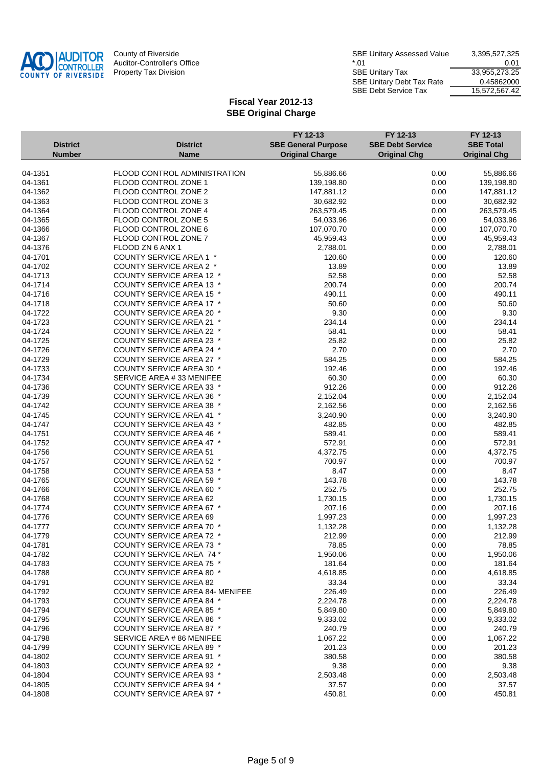

|                                  |                                                                    | FY 12-13                                             | FY 12-13                                       | FY 12-13                                |
|----------------------------------|--------------------------------------------------------------------|------------------------------------------------------|------------------------------------------------|-----------------------------------------|
| <b>District</b><br><b>Number</b> | District<br><b>Name</b>                                            | <b>SBE General Purpose</b><br><b>Original Charge</b> | <b>SBE Debt Service</b><br><b>Original Chg</b> | <b>SBE Total</b><br><b>Original Chg</b> |
|                                  |                                                                    |                                                      |                                                |                                         |
| 04-1351                          | FLOOD CONTROL ADMINISTRATION                                       | 55,886.66                                            | 0.00                                           | 55,886.66                               |
| 04-1361                          | FLOOD CONTROL ZONE 1                                               | 139,198.80                                           | 0.00                                           | 139,198.80                              |
| 04-1362                          | FLOOD CONTROL ZONE 2                                               | 147,881.12                                           | 0.00                                           | 147,881.12                              |
| 04-1363                          | FLOOD CONTROL ZONE 3                                               | 30,682.92                                            | 0.00                                           | 30,682.92                               |
| 04-1364                          | FLOOD CONTROL ZONE 4                                               | 263,579.45                                           | 0.00                                           | 263,579.45                              |
| 04-1365                          | FLOOD CONTROL ZONE 5                                               | 54,033.96                                            | 0.00                                           | 54,033.96                               |
| 04-1366                          | FLOOD CONTROL ZONE 6                                               | 107,070.70                                           | 0.00                                           | 107,070.70                              |
| 04-1367                          | FLOOD CONTROL ZONE 7                                               | 45,959.43                                            | 0.00                                           | 45,959.43                               |
| 04-1376                          | FLOOD ZN 6 ANX 1                                                   | 2,788.01                                             | 0.00                                           | 2,788.01                                |
| 04-1701                          | <b>COUNTY SERVICE AREA 1 *</b>                                     | 120.60                                               | 0.00                                           | 120.60                                  |
| 04-1702                          | COUNTY SERVICE AREA 2 *                                            | 13.89                                                | 0.00                                           | 13.89                                   |
| 04-1713                          | COUNTY SERVICE AREA 12 *                                           | 52.58                                                | 0.00                                           | 52.58                                   |
| 04-1714                          | <b>COUNTY SERVICE AREA 13 *</b>                                    | 200.74                                               | 0.00                                           | 200.74                                  |
| 04-1716                          | <b>COUNTY SERVICE AREA 15 *</b>                                    | 490.11                                               | 0.00                                           | 490.11                                  |
| 04-1718                          | <b>COUNTY SERVICE AREA 17 *</b>                                    | 50.60                                                | 0.00                                           | 50.60                                   |
| 04-1722                          | <b>COUNTY SERVICE AREA 20 *</b>                                    | 9.30                                                 | 0.00                                           | 9.30                                    |
| 04-1723                          | COUNTY SERVICE AREA 21 *<br><b>COUNTY SERVICE AREA 22 *</b>        | 234.14<br>58.41                                      | 0.00                                           | 234.14<br>58.41                         |
| 04-1724<br>04-1725               | <b>COUNTY SERVICE AREA 23 *</b>                                    | 25.82                                                | 0.00<br>0.00                                   | 25.82                                   |
| 04-1726                          | <b>COUNTY SERVICE AREA 24 *</b>                                    | 2.70                                                 | 0.00                                           | 2.70                                    |
| 04-1729                          | <b>COUNTY SERVICE AREA 27 *</b>                                    | 584.25                                               | 0.00                                           | 584.25                                  |
| 04-1733                          | <b>COUNTY SERVICE AREA 30 *</b>                                    | 192.46                                               | 0.00                                           | 192.46                                  |
| 04-1734                          | SERVICE AREA #33 MENIFEE                                           | 60.30                                                | 0.00                                           | 60.30                                   |
| 04-1736                          | <b>COUNTY SERVICE AREA 33 *</b>                                    | 912.26                                               | 0.00                                           | 912.26                                  |
| 04-1739                          | <b>COUNTY SERVICE AREA 36 *</b>                                    | 2,152.04                                             | 0.00                                           | 2,152.04                                |
| 04-1742                          | <b>COUNTY SERVICE AREA 38 *</b>                                    | 2,162.56                                             | 0.00                                           | 2,162.56                                |
| 04-1745                          | <b>COUNTY SERVICE AREA 41 *</b>                                    | 3,240.90                                             | 0.00                                           | 3,240.90                                |
| 04-1747                          | <b>COUNTY SERVICE AREA 43 *</b>                                    | 482.85                                               | 0.00                                           | 482.85                                  |
| 04-1751                          | <b>COUNTY SERVICE AREA 46 *</b>                                    | 589.41                                               | 0.00                                           | 589.41                                  |
| 04-1752                          | <b>COUNTY SERVICE AREA 47 *</b>                                    | 572.91                                               | 0.00                                           | 572.91                                  |
| 04-1756                          | <b>COUNTY SERVICE AREA 51</b>                                      | 4,372.75                                             | 0.00                                           | 4,372.75                                |
| 04-1757                          | COUNTY SERVICE AREA 52 *                                           | 700.97                                               | 0.00                                           | 700.97                                  |
| 04-1758                          | <b>COUNTY SERVICE AREA 53 *</b>                                    | 8.47                                                 | 0.00                                           | 8.47                                    |
| 04-1765                          | COUNTY SERVICE AREA 59 *                                           | 143.78                                               | 0.00                                           | 143.78                                  |
| 04-1766                          | <b>COUNTY SERVICE AREA 60 *</b>                                    | 252.75                                               | 0.00                                           | 252.75                                  |
| 04-1768                          | <b>COUNTY SERVICE AREA 62</b>                                      | 1,730.15                                             | 0.00                                           | 1,730.15                                |
| 04-1774                          | COUNTY SERVICE AREA 67 *                                           | 207.16                                               | 0.00                                           | 207.16                                  |
| 04-1776                          | <b>COUNTY SERVICE AREA 69</b>                                      | 1,997.23                                             | 0.00                                           | 1,997.23                                |
| 04-1777                          | <b>COUNTY SERVICE AREA 70 *</b>                                    | 1,132.28                                             | 0.00                                           | 1,132.28                                |
| 04-1779                          | <b>COUNTY SERVICE AREA 72 *</b>                                    | 212.99                                               | 0.00                                           | 212.99                                  |
| 04-1781                          | COUNTY SERVICE AREA 73 *                                           | 78.85                                                | 0.00                                           | 78.85                                   |
| 04-1782                          | <b>COUNTY SERVICE AREA 74 *</b>                                    | 1,950.06                                             | 0.00                                           | 1,950.06                                |
| 04-1783                          | COUNTY SERVICE AREA 75 *                                           | 181.64                                               | 0.00                                           | 181.64                                  |
| 04-1788                          | <b>COUNTY SERVICE AREA 80 *</b>                                    | 4,618.85                                             | 0.00                                           | 4,618.85                                |
| 04-1791                          | <b>COUNTY SERVICE AREA 82</b>                                      | 33.34                                                | 0.00                                           | 33.34                                   |
| 04-1792                          | <b>COUNTY SERVICE AREA 84- MENIFEE</b>                             | 226.49                                               | 0.00                                           | 226.49                                  |
| 04-1793                          | <b>COUNTY SERVICE AREA 84 *</b>                                    | 2,224.78                                             | 0.00                                           | 2,224.78                                |
| 04-1794                          | <b>COUNTY SERVICE AREA 85 *</b>                                    | 5,849.80                                             | 0.00                                           | 5,849.80                                |
| 04-1795<br>04-1796               | <b>COUNTY SERVICE AREA 86 *</b><br><b>COUNTY SERVICE AREA 87 *</b> | 9,333.02<br>240.79                                   | 0.00<br>0.00                                   | 9,333.02<br>240.79                      |
| 04-1798                          | SERVICE AREA # 86 MENIFEE                                          | 1,067.22                                             | 0.00                                           | 1,067.22                                |
| 04-1799                          | <b>COUNTY SERVICE AREA 89 *</b>                                    | 201.23                                               | 0.00                                           | 201.23                                  |
| 04-1802                          | <b>COUNTY SERVICE AREA 91 *</b>                                    | 380.58                                               | 0.00                                           | 380.58                                  |
| 04-1803                          | <b>COUNTY SERVICE AREA 92 *</b>                                    | 9.38                                                 | 0.00                                           | 9.38                                    |
| 04-1804                          | <b>COUNTY SERVICE AREA 93 *</b>                                    | 2,503.48                                             | 0.00                                           | 2,503.48                                |
| 04-1805                          | <b>COUNTY SERVICE AREA 94 *</b>                                    | 37.57                                                | 0.00                                           | 37.57                                   |
| 04-1808                          | COUNTY SERVICE AREA 97 *                                           | 450.81                                               | 0.00                                           | 450.81                                  |
|                                  |                                                                    |                                                      |                                                |                                         |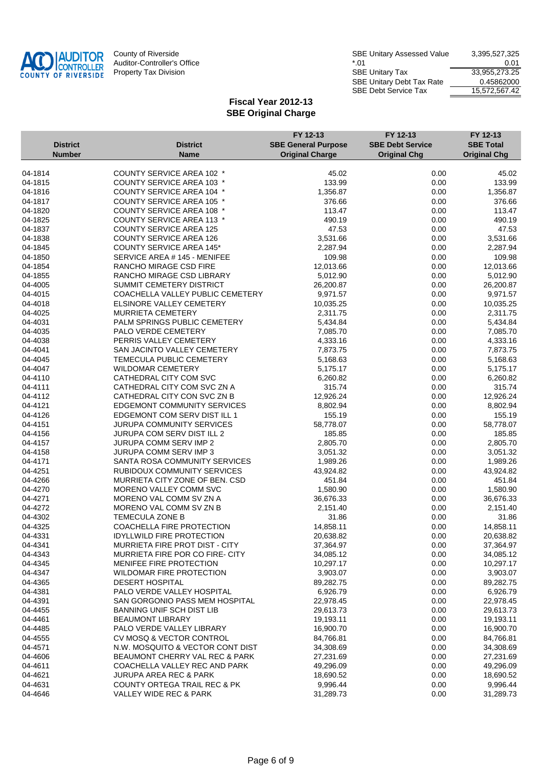

| County of Riverside         | <b>SBE Unitary Assessed Value</b> | 3,395,527,325 |
|-----------------------------|-----------------------------------|---------------|
| Auditor-Controller's Office | $*$ 01                            | 0.01          |
| Property Tax Division       | <b>SBE Unitary Tax</b>            | 33,955,273.25 |
|                             | <b>SBE Unitary Debt Tax Rate</b>  | 0.45862000    |
|                             | <b>SBE Debt Service Tax</b>       | 15.572.567.42 |

|                 |                                        | FY 12-13                   | FY 12-13                | FY 12-13            |
|-----------------|----------------------------------------|----------------------------|-------------------------|---------------------|
| <b>District</b> | <b>District</b>                        | <b>SBE General Purpose</b> | <b>SBE Debt Service</b> | <b>SBE Total</b>    |
| <b>Number</b>   | <b>Name</b>                            | <b>Original Charge</b>     | <b>Original Chg</b>     | <b>Original Chg</b> |
|                 |                                        |                            |                         |                     |
| 04-1814         | <b>COUNTY SERVICE AREA 102 *</b>       | 45.02                      | 0.00                    | 45.02               |
| 04-1815         | <b>COUNTY SERVICE AREA 103 *</b>       | 133.99                     | 0.00                    | 133.99              |
| 04-1816         | <b>COUNTY SERVICE AREA 104 *</b>       | 1,356.87                   | 0.00                    | 1,356.87            |
| 04-1817         | <b>COUNTY SERVICE AREA 105 *</b>       | 376.66                     | 0.00                    | 376.66              |
| 04-1820         | <b>COUNTY SERVICE AREA 108 *</b>       | 113.47                     | 0.00                    | 113.47              |
| 04-1825         | <b>COUNTY SERVICE AREA 113 *</b>       | 490.19                     | 0.00                    | 490.19              |
| 04-1837         | <b>COUNTY SERVICE AREA 125</b>         | 47.53                      | 0.00                    | 47.53               |
| 04-1838         | <b>COUNTY SERVICE AREA 126</b>         | 3,531.66                   | 0.00                    | 3,531.66            |
| 04-1845         | <b>COUNTY SERVICE AREA 145*</b>        | 2,287.94                   | 0.00                    | 2,287.94            |
| 04-1850         | SERVICE AREA # 145 - MENIFEE           | 109.98                     | 0.00                    | 109.98              |
| 04-1854         | <b>RANCHO MIRAGE CSD FIRE</b>          | 12,013.66                  | 0.00                    | 12,013.66           |
| 04-1855         | RANCHO MIRAGE CSD LIBRARY              | 5,012.90                   | 0.00                    | 5,012.90            |
| 04-4005         | SUMMIT CEMETERY DISTRICT               | 26,200.87                  | 0.00                    | 26,200.87           |
| 04-4015         | COACHELLA VALLEY PUBLIC CEMETERY       | 9,971.57                   | 0.00                    | 9,971.57            |
| 04-4018         | ELSINORE VALLEY CEMETERY               | 10,035.25                  | 0.00                    | 10,035.25           |
| 04-4025         | <b>MURRIETA CEMETERY</b>               | 2,311.75                   | 0.00                    | 2,311.75            |
| 04-4031         | PALM SPRINGS PUBLIC CEMETERY           | 5,434.84                   | 0.00                    | 5,434.84            |
| 04-4035         | PALO VERDE CEMETERY                    | 7,085.70                   | 0.00                    | 7,085.70            |
| 04-4038         | PERRIS VALLEY CEMETERY                 | 4,333.16                   | 0.00                    | 4,333.16            |
| 04-4041         | SAN JACINTO VALLEY CEMETERY            | 7,873.75                   | 0.00                    | 7,873.75            |
| 04-4045         | <b>TEMECULA PUBLIC CEMETERY</b>        | 5,168.63                   | 0.00                    | 5,168.63            |
| 04-4047         | <b>WILDOMAR CEMETERY</b>               | 5,175.17                   | 0.00                    | 5,175.17            |
| 04-4110         | CATHEDRAL CITY COM SVC                 | 6,260.82                   | 0.00                    | 6,260.82            |
| 04-4111         | CATHEDRAL CITY COM SVC ZN A            | 315.74                     | 0.00                    | 315.74              |
| 04-4112         | CATHEDRAL CITY CON SVC ZN B            | 12,926.24                  | 0.00                    | 12,926.24           |
| 04-4121         | <b>EDGEMONT COMMUNITY SERVICES</b>     | 8,802.94                   | 0.00                    | 8,802.94            |
| 04-4126         | EDGEMONT COM SERV DIST ILL 1           | 155.19                     | 0.00                    | 155.19              |
| 04-4151         | <b>JURUPA COMMUNITY SERVICES</b>       | 58,778.07                  | 0.00                    | 58,778.07           |
| 04-4156         | JURUPA COM SERV DIST ILL 2             | 185.85                     | 0.00                    | 185.85              |
| 04-4157         | JURUPA COMM SERV IMP 2                 | 2,805.70                   | 0.00                    | 2,805.70            |
| 04-4158         | <b>JURUPA COMM SERV IMP 3</b>          | 3,051.32                   | 0.00                    | 3,051.32            |
| 04-4171         | SANTA ROSA COMMUNITY SERVICES          | 1,989.26                   | 0.00                    | 1,989.26            |
| 04-4251         | RUBIDOUX COMMUNITY SERVICES            | 43,924.82                  | 0.00                    | 43,924.82           |
| 04-4266         | MURRIETA CITY ZONE OF BEN. CSD         | 451.84                     | 0.00                    | 451.84              |
| 04-4270         | <b>MORENO VALLEY COMM SVC</b>          | 1,580.90                   | 0.00                    | 1,580.90            |
| 04-4271         | MORENO VAL COMM SV ZN A                | 36,676.33                  | 0.00                    | 36,676.33           |
| 04-4272         | MORENO VAL COMM SV ZN B                | 2,151.40                   | 0.00                    | 2,151.40            |
| 04-4302         | <b>TEMECULA ZONE B</b>                 | 31.86                      | 0.00                    | 31.86               |
| 04-4325         | COACHELLA FIRE PROTECTION              | 14,858.11                  | 0.00                    | 14,858.11           |
| 04-4331         | <b>IDYLLWILD FIRE PROTECTION</b>       | 20,638.82                  | 0.00                    | 20,638.82           |
| 04-4341         | MURRIETA FIRE PROT DIST - CITY         | 37,364.97                  | 0.00                    | 37,364.97           |
| 04-4343         | <b>MURRIETA FIRE POR CO FIRE- CITY</b> | 34,085.12                  | 0.00                    | 34,085.12           |
| 04-4345         | <b>MENIFEE FIRE PROTECTION</b>         | 10,297.17                  | 0.00                    | 10,297.17           |
| 04-4347         | WILDOMAR FIRE PROTECTION               | 3,903.07                   | 0.00                    | 3,903.07            |
| 04-4365         | <b>DESERT HOSPITAL</b>                 | 89,282.75                  | 0.00                    | 89,282.75           |
| 04-4381         | PALO VERDE VALLEY HOSPITAL             | 6,926.79                   | 0.00                    | 6,926.79            |
| 04-4391         | SAN GORGONIO PASS MEM HOSPITAL         | 22,978.45                  | 0.00                    | 22,978.45           |
| 04-4455         | <b>BANNING UNIF SCH DIST LIB</b>       | 29,613.73                  | 0.00                    | 29,613.73           |
| 04-4461         | <b>BEAUMONT LIBRARY</b>                | 19,193.11                  | 0.00                    | 19,193.11           |
| 04-4485         | PALO VERDE VALLEY LIBRARY              | 16,900.70                  | 0.00                    | 16,900.70           |
| 04-4555         | CV MOSQ & VECTOR CONTROL               | 84,766.81                  | 0.00                    | 84,766.81           |
| 04-4571         | N.W. MOSQUITO & VECTOR CONT DIST       | 34,308.69                  | 0.00                    | 34,308.69           |
| 04-4606         | BEAUMONT CHERRY VAL REC & PARK         | 27,231.69                  | 0.00                    | 27,231.69           |
| 04-4611         | COACHELLA VALLEY REC AND PARK          | 49,296.09                  | 0.00                    | 49,296.09           |
| 04-4621         | <b>JURUPA AREA REC &amp; PARK</b>      | 18,690.52                  | 0.00                    | 18,690.52           |
| 04-4631         | COUNTY ORTEGA TRAIL REC & PK           | 9,996.44                   | 0.00                    | 9,996.44            |
| 04-4646         | VALLEY WIDE REC & PARK                 | 31,289.73                  | 0.00                    | 31,289.73           |
|                 |                                        |                            |                         |                     |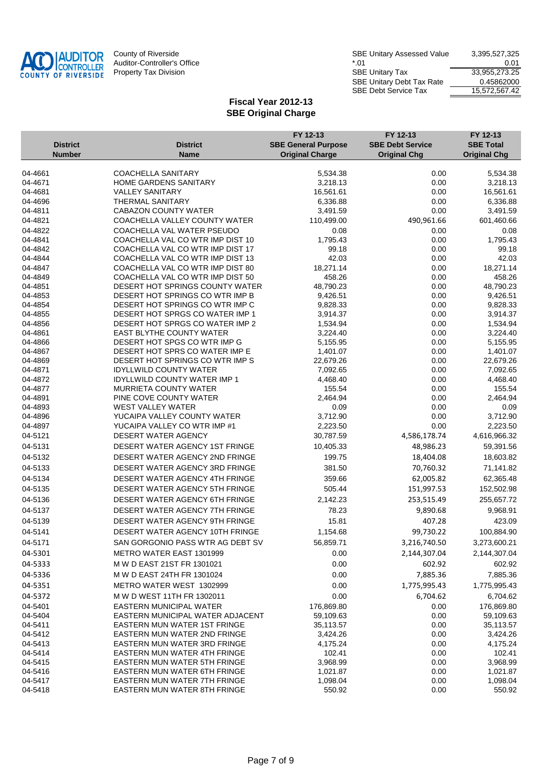

|                                  |                                                                      | FY 12-13                                             | FY 12-13                                       | FY 12-13                                |
|----------------------------------|----------------------------------------------------------------------|------------------------------------------------------|------------------------------------------------|-----------------------------------------|
| <b>District</b><br><b>Number</b> | <b>District</b><br><b>Name</b>                                       | <b>SBE General Purpose</b><br><b>Original Charge</b> | <b>SBE Debt Service</b><br><b>Original Chg</b> | <b>SBE Total</b><br><b>Original Chg</b> |
|                                  |                                                                      |                                                      |                                                |                                         |
| 04-4661                          | <b>COACHELLA SANITARY</b>                                            | 5,534.38                                             | 0.00                                           | 5,534.38                                |
| 04-4671                          | HOME GARDENS SANITARY                                                | 3,218.13                                             | 0.00                                           | 3,218.13                                |
| 04-4681                          | <b>VALLEY SANITARY</b>                                               | 16,561.61                                            | 0.00                                           | 16,561.61                               |
| 04-4696                          | <b>THERMAL SANITARY</b>                                              | 6,336.88                                             | 0.00                                           | 6,336.88                                |
| 04-4811                          | CABAZON COUNTY WATER                                                 | 3,491.59                                             | 0.00                                           | 3,491.59                                |
| 04-4821                          | COACHELLA VALLEY COUNTY WATER                                        | 110,499.00                                           | 490,961.66                                     | 601,460.66                              |
| 04-4822                          | COACHELLA VAL WATER PSEUDO                                           | 0.08                                                 | 0.00                                           | 0.08                                    |
| 04-4841                          | COACHELLA VAL CO WTR IMP DIST 10                                     | 1,795.43                                             | 0.00                                           | 1,795.43                                |
| 04-4842                          | COACHELLA VAL CO WTR IMP DIST 17                                     | 99.18                                                | 0.00                                           | 99.18                                   |
| 04-4844<br>04-4847               | COACHELLA VAL CO WTR IMP DIST 13<br>COACHELLA VAL CO WTR IMP DIST 80 | 42.03<br>18,271.14                                   | 0.00<br>0.00                                   | 42.03<br>18,271.14                      |
| 04-4849                          | COACHELLA VAL CO WTR IMP DIST 50                                     | 458.26                                               | 0.00                                           | 458.26                                  |
| 04-4851                          | DESERT HOT SPRINGS COUNTY WATER                                      | 48,790.23                                            | 0.00                                           | 48,790.23                               |
| 04-4853                          | DESERT HOT SPRINGS CO WTR IMP B                                      | 9,426.51                                             | 0.00                                           | 9,426.51                                |
| 04-4854                          | DESERT HOT SPRINGS CO WTR IMP C                                      | 9,828.33                                             | 0.00                                           | 9,828.33                                |
| 04-4855                          | DESERT HOT SPRGS CO WATER IMP 1                                      | 3,914.37                                             | 0.00                                           | 3,914.37                                |
| 04-4856                          | DESERT HOT SPRGS CO WATER IMP 2                                      | 1,534.94                                             | 0.00                                           | 1,534.94                                |
| 04-4861                          | <b>EAST BLYTHE COUNTY WATER</b>                                      | 3,224.40                                             | 0.00                                           | 3,224.40                                |
| 04-4866                          | DESERT HOT SPGS CO WTR IMP G                                         | 5,155.95                                             | 0.00                                           | 5,155.95                                |
| 04-4867                          | DESERT HOT SPRS CO WATER IMP E                                       | 1,401.07                                             | 0.00                                           | 1,401.07                                |
| 04-4869                          | DESERT HOT SPRINGS CO WTR IMP S                                      | 22,679.26                                            | 0.00                                           | 22,679.26                               |
| 04-4871                          | <b>IDYLLWILD COUNTY WATER</b>                                        | 7,092.65                                             | 0.00                                           | 7,092.65                                |
| 04-4872                          | <b>IDYLLWILD COUNTY WATER IMP 1</b>                                  | 4,468.40                                             | 0.00                                           | 4,468.40                                |
| 04-4877                          | <b>MURRIETA COUNTY WATER</b>                                         | 155.54                                               | 0.00                                           | 155.54                                  |
| 04-4891<br>04-4893               | PINE COVE COUNTY WATER<br><b>WEST VALLEY WATER</b>                   | 2,464.94<br>0.09                                     | 0.00<br>0.00                                   | 2,464.94<br>0.09                        |
| 04-4896                          | YUCAIPA VALLEY COUNTY WATER                                          | 3,712.90                                             | 0.00                                           | 3,712.90                                |
| 04-4897                          | YUCAIPA VALLEY CO WTR IMP #1                                         | 2,223.50                                             | 0.00                                           | 2,223.50                                |
| 04-5121                          | DESERT WATER AGENCY                                                  | 30,787.59                                            | 4,586,178.74                                   | 4,616,966.32                            |
| 04-5131                          | DESERT WATER AGENCY 1ST FRINGE                                       | 10,405.33                                            | 48,986.23                                      | 59,391.56                               |
| 04-5132                          | DESERT WATER AGENCY 2ND FRINGE                                       | 199.75                                               | 18,404.08                                      | 18,603.82                               |
|                                  |                                                                      |                                                      |                                                |                                         |
| 04-5133                          | DESERT WATER AGENCY 3RD FRINGE                                       | 381.50                                               | 70,760.32                                      | 71,141.82                               |
| 04-5134                          | DESERT WATER AGENCY 4TH FRINGE                                       | 359.66                                               | 62,005.82                                      | 62,365.48                               |
| 04-5135                          | DESERT WATER AGENCY 5TH FRINGE                                       | 505.44                                               | 151,997.53                                     | 152,502.98                              |
| 04-5136                          | DESERT WATER AGENCY 6TH FRINGE                                       | 2,142.23                                             | 253,515.49                                     | 255,657.72                              |
| 04-5137                          | DESERT WATER AGENCY 7TH FRINGE                                       | 78.23                                                | 9,890.68                                       | 9,968.91                                |
| 04-5139                          | DESERT WATER AGENCY 9TH FRINGE                                       | 15.81                                                | 407.28                                         | 423.09                                  |
| 04-5141                          | DESERT WATER AGENCY 10TH FRINGE                                      | 1,154.68                                             | 99,730.22                                      | 100,884.90                              |
| 04-5171                          | SAN GORGONIO PASS WTR AG DEBT SV                                     | 56,859.71                                            | 3,216,740.50                                   | 3,273,600.21                            |
| 04-5301                          | <b>METRO WATER EAST 1301999</b>                                      | 0.00                                                 | 2,144,307.04                                   | 2,144,307.04                            |
| 04-5333                          | M W D EAST 21ST FR 1301021                                           | 0.00                                                 | 602.92                                         | 602.92                                  |
| 04-5336                          | M W D EAST 24TH FR 1301024                                           | 0.00                                                 | 7,885.36                                       | 7,885.36                                |
| 04-5351                          | METRO WATER WEST 1302999                                             | 0.00                                                 | 1,775,995.43                                   | 1,775,995.43                            |
| 04-5372                          | M W D WEST 11TH FR 1302011                                           | 0.00                                                 | 6,704.62                                       | 6,704.62                                |
| 04-5401                          | EASTERN MUNICIPAL WATER                                              | 176,869.80                                           | 0.00                                           | 176,869.80                              |
| 04-5404                          | EASTERN MUNICIPAL WATER ADJACENT                                     | 59,109.63                                            | 0.00                                           | 59,109.63                               |
| 04-5411                          | EASTERN MUN WATER 1ST FRINGE                                         | 35,113.57                                            | 0.00                                           | 35,113.57                               |
| 04-5412                          | EASTERN MUN WATER 2ND FRINGE                                         | 3,424.26                                             | 0.00                                           | 3,424.26                                |
| 04-5413                          | EASTERN MUN WATER 3RD FRINGE                                         | 4,175.24                                             | 0.00                                           | 4,175.24                                |
| 04-5414                          | EASTERN MUN WATER 4TH FRINGE                                         | 102.41                                               | 0.00                                           | 102.41                                  |
| 04-5415                          | EASTERN MUN WATER 5TH FRINGE                                         | 3,968.99                                             | 0.00                                           | 3,968.99                                |
| 04-5416                          | <b>EASTERN MUN WATER 6TH FRINGE</b>                                  | 1,021.87                                             | 0.00                                           | 1,021.87                                |
| 04-5417                          | EASTERN MUN WATER 7TH FRINGE                                         | 1,098.04                                             | 0.00                                           | 1,098.04                                |
| 04-5418                          | EASTERN MUN WATER 8TH FRINGE                                         | 550.92                                               | 0.00                                           | 550.92                                  |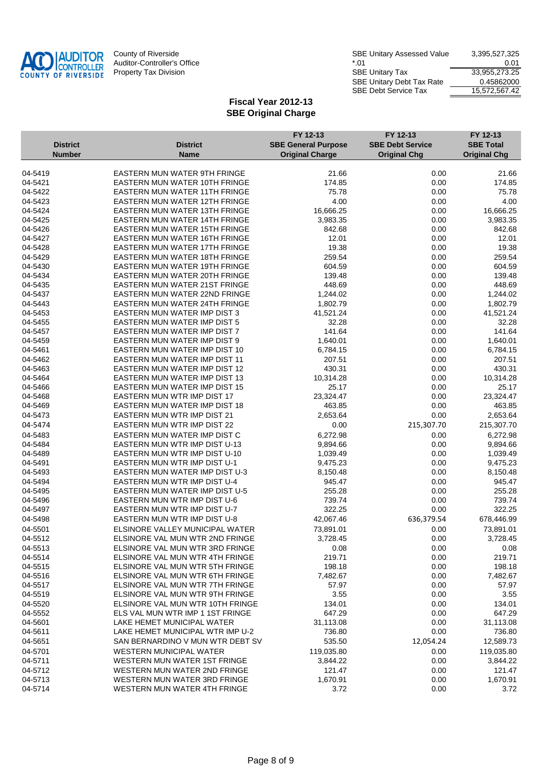

|                    |                                                                       | FY 12-13                   | FY 12-13                | FY 12-13              |
|--------------------|-----------------------------------------------------------------------|----------------------------|-------------------------|-----------------------|
| <b>District</b>    | <b>District</b>                                                       | <b>SBE General Purpose</b> | <b>SBE Debt Service</b> | <b>SBE Total</b>      |
| <b>Number</b>      | <b>Name</b>                                                           | <b>Original Charge</b>     | <b>Original Chg</b>     | <b>Original Chg</b>   |
|                    |                                                                       |                            |                         |                       |
| 04-5419            | EASTERN MUN WATER 9TH FRINGE                                          | 21.66                      | 0.00                    | 21.66                 |
| 04-5421            | EASTERN MUN WATER 10TH FRINGE                                         | 174.85                     | 0.00                    | 174.85                |
| 04-5422            | EASTERN MUN WATER 11TH FRINGE                                         | 75.78                      | 0.00                    | 75.78                 |
| 04-5423            | EASTERN MUN WATER 12TH FRINGE                                         | 4.00                       | 0.00                    | 4.00                  |
| 04-5424            | EASTERN MUN WATER 13TH FRINGE                                         | 16,666.25                  | 0.00                    | 16,666.25             |
| 04-5425<br>04-5426 | EASTERN MUN WATER 14TH FRINGE                                         | 3,983.35                   | 0.00                    | 3,983.35              |
| 04-5427            | <b>EASTERN MUN WATER 15TH FRINGE</b>                                  | 842.68                     | 0.00                    | 842.68                |
|                    | EASTERN MUN WATER 16TH FRINGE                                         | 12.01                      | 0.00                    | 12.01                 |
| 04-5428<br>04-5429 | EASTERN MUN WATER 17TH FRINGE<br><b>EASTERN MUN WATER 18TH FRINGE</b> | 19.38<br>259.54            | 0.00                    | 19.38                 |
| 04-5430            |                                                                       |                            | 0.00                    | 259.54                |
| 04-5434            | EASTERN MUN WATER 19TH FRINGE                                         | 604.59<br>139.48           | 0.00                    | 604.59<br>139.48      |
|                    | EASTERN MUN WATER 20TH FRINGE                                         |                            | 0.00                    |                       |
| 04-5435<br>04-5437 | EASTERN MUN WATER 21ST FRINGE                                         | 448.69                     | 0.00                    | 448.69                |
| 04-5443            | EASTERN MUN WATER 22ND FRINGE                                         | 1,244.02                   | 0.00                    | 1,244.02              |
| 04-5453            | EASTERN MUN WATER 24TH FRINGE<br>EASTERN MUN WATER IMP DIST 3         | 1,802.79<br>41,521.24      | 0.00<br>0.00            | 1,802.79<br>41,521.24 |
| 04-5455            | EASTERN MUN WATER IMP DIST 5                                          | 32.28                      | 0.00                    | 32.28                 |
| 04-5457            | EASTERN MUN WATER IMP DIST 7                                          | 141.64                     |                         | 141.64                |
| 04-5459            | EASTERN MUN WATER IMP DIST 9                                          | 1,640.01                   | 0.00<br>0.00            | 1,640.01              |
| 04-5461            | EASTERN MUN WATER IMP DIST 10                                         | 6,784.15                   | 0.00                    | 6,784.15              |
| 04-5462            | EASTERN MUN WATER IMP DIST 11                                         | 207.51                     | 0.00                    | 207.51                |
| 04-5463            | EASTERN MUN WATER IMP DIST 12                                         | 430.31                     | 0.00                    | 430.31                |
| 04-5464            | EASTERN MUN WATER IMP DIST 13                                         | 10,314.28                  | 0.00                    | 10,314.28             |
| 04-5466            | EASTERN MUN WATER IMP DIST 15                                         | 25.17                      | 0.00                    | 25.17                 |
| 04-5468            | EASTERN MUN WTR IMP DIST 17                                           | 23,324.47                  | 0.00                    | 23,324.47             |
| 04-5469            | EASTERN MUN WATER IMP DIST 18                                         | 463.85                     | 0.00                    | 463.85                |
| 04-5473            | EASTERN MUN WTR IMP DIST 21                                           | 2,653.64                   | 0.00                    | 2,653.64              |
| 04-5474            | EASTERN MUN WTR IMP DIST 22                                           | 0.00                       | 215,307.70              | 215,307.70            |
|                    |                                                                       |                            |                         |                       |
| 04-5483            | EASTERN MUN WATER IMP DIST C                                          | 6,272.98                   | 0.00                    | 6,272.98              |
| 04-5484            | EASTERN MUN WTR IMP DIST U-13                                         | 9,894.66                   | 0.00                    | 9,894.66              |
| 04-5489            | EASTERN MUN WTR IMP DIST U-10                                         | 1,039.49                   | 0.00                    | 1,039.49              |
| 04-5491<br>04-5493 | EASTERN MUN WTR IMP DIST U-1<br>EASTERN MUN WATER IMP DIST U-3        | 9,475.23                   | 0.00                    | 9,475.23              |
|                    |                                                                       | 8,150.48                   | 0.00                    | 8,150.48              |
| 04-5494            | EASTERN MUN WTR IMP DIST U-4<br>EASTERN MUN WATER IMP DIST U-5        | 945.47                     | 0.00                    | 945.47                |
| 04-5495<br>04-5496 | EASTERN MUN WTR IMP DIST U-6                                          | 255.28<br>739.74           | 0.00<br>0.00            | 255.28<br>739.74      |
|                    |                                                                       |                            |                         |                       |
| 04-5497            | EASTERN MUN WTR IMP DIST U-7                                          | 322.25                     | 0.00                    | 322.25                |
| 04-5498            | EASTERN MUN WTR IMP DIST U-8                                          | 42,067.46                  | 636,379.54              | 678,446.99            |
| 04-5501            | ELSINORE VALLEY MUNICIPAL WATER                                       | 73,891.01                  | 0.00                    | 73,891.01             |
| 04-5512            | FI SINORE VAL MUN WTR 2ND FRINGE                                      | 3,728.45                   | 0.00                    | 3,728.45              |
| 04-5513            | ELSINORE VAL MUN WTR 3RD FRINGE                                       | 0.08                       | 0.00                    | 0.08                  |
| 04-5514            | ELSINORE VAL MUN WTR 4TH FRINGE                                       | 219.71                     | 0.00                    | 219.71                |
| 04-5515            | ELSINORE VAL MUN WTR 5TH FRINGE                                       | 198.18                     | 0.00                    | 198.18                |
| 04-5516            | ELSINORE VAL MUN WTR 6TH FRINGE                                       | 7,482.67                   | 0.00                    | 7,482.67              |
| 04-5517            | ELSINORE VAL MUN WTR 7TH FRINGE                                       | 57.97                      | 0.00                    | 57.97                 |
| 04-5519            | ELSINORE VAL MUN WTR 9TH FRINGE                                       | 3.55                       | 0.00                    | 3.55                  |
| 04-5520            | ELSINORE VAL MUN WTR 10TH FRINGE                                      | 134.01                     | 0.00                    | 134.01                |
| 04-5552            | ELS VAL MUN WTR IMP 1 1ST FRINGE                                      | 647.29                     | 0.00                    | 647.29                |
| 04-5601            | LAKE HEMET MUNICIPAL WATER                                            | 31,113.08                  | 0.00                    | 31,113.08             |
| 04-5611            | LAKE HEMET MUNICIPAL WTR IMP U-2                                      | 736.80                     | 0.00                    | 736.80                |
| 04-5651            | SAN BERNARDINO V MUN WTR DEBT SV                                      | 535.50                     | 12,054.24               | 12,589.73             |
| 04-5701            | WESTERN MUNICIPAL WATER                                               | 119,035.80                 | 0.00                    | 119,035.80            |
| 04-5711            | WESTERN MUN WATER 1ST FRINGE                                          | 3,844.22                   | 0.00                    | 3,844.22              |
| 04-5712            | WESTERN MUN WATER 2ND FRINGE                                          | 121.47                     | 0.00                    | 121.47                |
| 04-5713            | WESTERN MUN WATER 3RD FRINGE                                          | 1,670.91                   | 0.00                    | 1,670.91              |
| 04-5714            | WESTERN MUN WATER 4TH FRINGE                                          | 3.72                       | 0.00                    | 3.72                  |